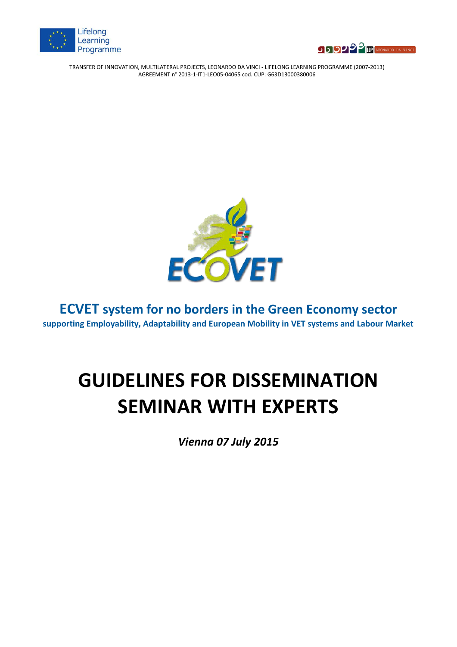





# **ECVET system for no borders in the Green Economy sector supporting Employability, Adaptability and European Mobility in VET systems and Labour Market**

# **GUIDELINES FOR DISSEMINATION SEMINAR WITH EXPERTS**

*Vienna 07 July 2015*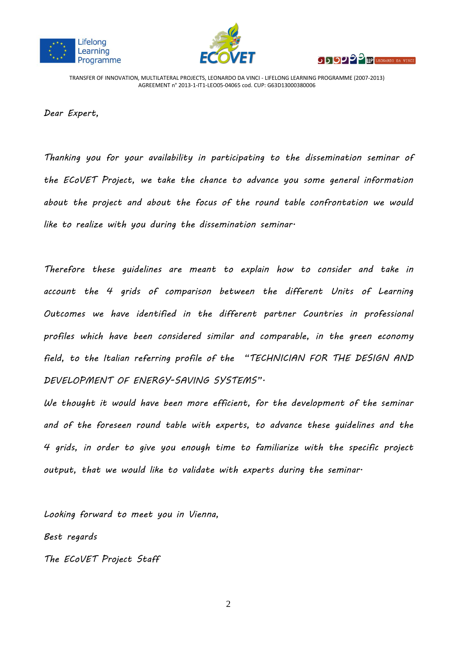





*Dear Expert,*

*Thanking you for your availability in participating to the dissemination seminar of the ECoVET Project, we take the chance to advance you some general information about the project and about the focus of the round table confrontation we would like to realize with you during the dissemination seminar.*

*Therefore these guidelines are meant to explain how to consider and take in account the 4 grids of comparison between the different Units of Learning Outcomes we have identified in the different partner Countries in professional profiles which have been considered similar and comparable, in the green economy field, to the Italian referring profile of the "TECHNICIAN FOR THE DESIGN AND DEVELOPMENT OF ENERGY-SAVING SYSTEMS".*

*We thought it would have been more efficient, for the development of the seminar and of the foreseen round table with experts, to advance these guidelines and the 4 grids, in order to give you enough time to familiarize with the specific project output, that we would like to validate with experts during the seminar.*

*Looking forward to meet you in Vienna, Best regards The ECoVET Project Staff*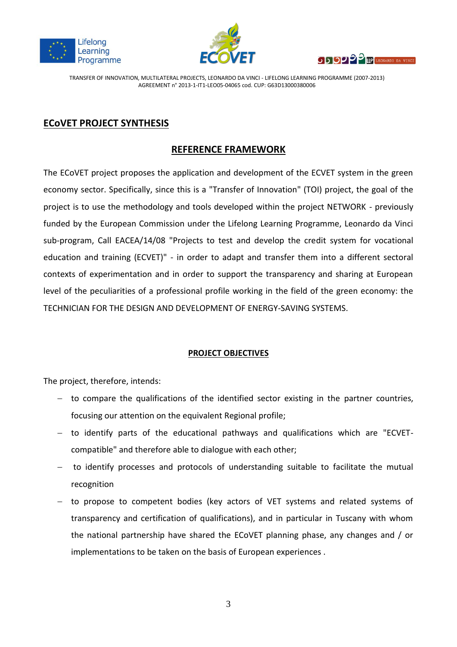





# **ECoVET PROJECT SYNTHESIS**

## **REFERENCE FRAMEWORK**

The ECoVET project proposes the application and development of the ECVET system in the green economy sector. Specifically, since this is a "Transfer of Innovation" (TOI) project, the goal of the project is to use the methodology and tools developed within the project NETWORK - previously funded by the European Commission under the Lifelong Learning Programme, Leonardo da Vinci sub-program, Call EACEA/14/08 "Projects to test and develop the credit system for vocational education and training (ECVET)" - in order to adapt and transfer them into a different sectoral contexts of experimentation and in order to support the transparency and sharing at European level of the peculiarities of a professional profile working in the field of the green economy: the TECHNICIAN FOR THE DESIGN AND DEVELOPMENT OF ENERGY-SAVING SYSTEMS.

#### **PROJECT OBJECTIVES**

The project, therefore, intends:

- $-$  to compare the qualifications of the identified sector existing in the partner countries, focusing our attention on the equivalent Regional profile;
- to identify parts of the educational pathways and qualifications which are "ECVETcompatible" and therefore able to dialogue with each other;
- to identify processes and protocols of understanding suitable to facilitate the mutual recognition
- to propose to competent bodies (key actors of VET systems and related systems of transparency and certification of qualifications), and in particular in Tuscany with whom the national partnership have shared the ECoVET planning phase, any changes and / or implementations to be taken on the basis of European experiences .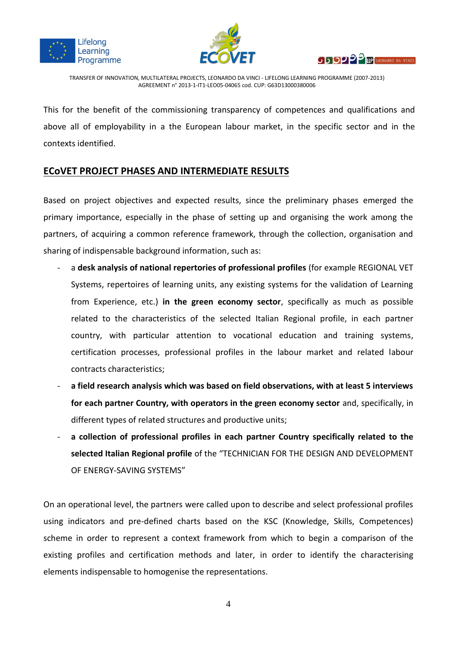





This for the benefit of the commissioning transparency of competences and qualifications and above all of employability in a the European labour market, in the specific sector and in the contexts identified.

## **ECoVET PROJECT PHASES AND INTERMEDIATE RESULTS**

Based on project objectives and expected results, since the preliminary phases emerged the primary importance, especially in the phase of setting up and organising the work among the partners, of acquiring a common reference framework, through the collection, organisation and sharing of indispensable background information, such as:

- a **desk analysis of national repertories of professional profiles** (for example REGIONAL VET Systems, repertoires of learning units, any existing systems for the validation of Learning from Experience, etc.) **in the green economy sector**, specifically as much as possible related to the characteristics of the selected Italian Regional profile, in each partner country, with particular attention to vocational education and training systems, certification processes, professional profiles in the labour market and related labour contracts characteristics;
- **a field research analysis which was based on field observations, with at least 5 interviews for each partner Country, with operators in the green economy sector** and, specifically, in different types of related structures and productive units;
- **a collection of professional profiles in each partner Country specifically related to the selected Italian Regional profile** of the "TECHNICIAN FOR THE DESIGN AND DEVELOPMENT OF ENERGY-SAVING SYSTEMS"

On an operational level, the partners were called upon to describe and select professional profiles using indicators and pre-defined charts based on the KSC (Knowledge, Skills, Competences) scheme in order to represent a context framework from which to begin a comparison of the existing profiles and certification methods and later, in order to identify the characterising elements indispensable to homogenise the representations.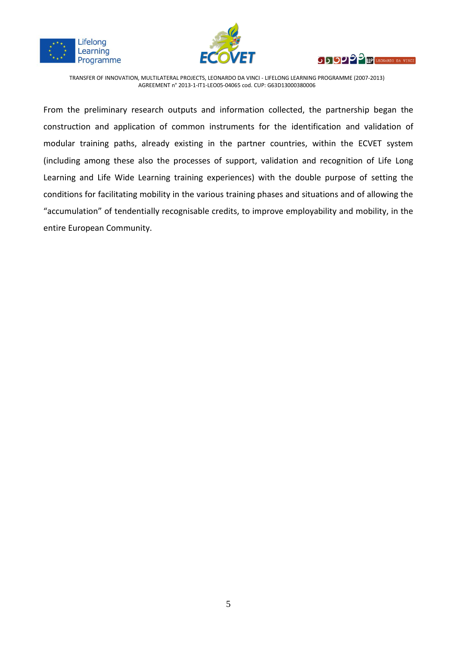





From the preliminary research outputs and information collected, the partnership began the construction and application of common instruments for the identification and validation of modular training paths, already existing in the partner countries, within the ECVET system (including among these also the processes of support, validation and recognition of Life Long Learning and Life Wide Learning training experiences) with the double purpose of setting the conditions for facilitating mobility in the various training phases and situations and of allowing the "accumulation" of tendentially recognisable credits, to improve employability and mobility, in the entire European Community.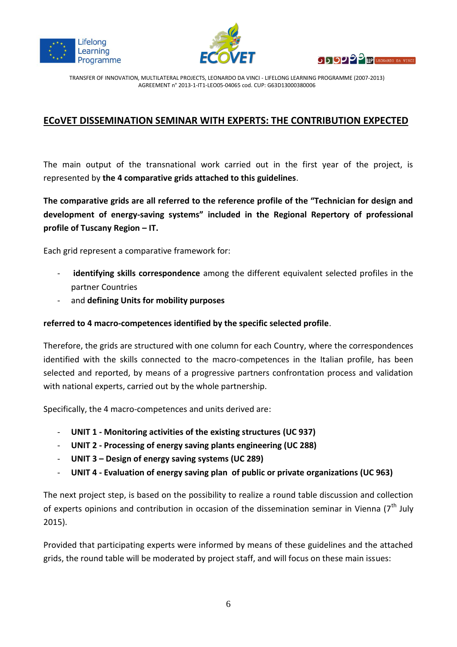





# **ECoVET DISSEMINATION SEMINAR WITH EXPERTS: THE CONTRIBUTION EXPECTED**

The main output of the transnational work carried out in the first year of the project, is represented by **the 4 comparative grids attached to this guidelines**.

**The comparative grids are all referred to the reference profile of the "Technician for design and development of energy-saving systems" included in the Regional Repertory of professional profile of Tuscany Region – IT.**

Each grid represent a comparative framework for:

- **identifying skills correspondence** among the different equivalent selected profiles in the partner Countries
- and **defining Units for mobility purposes**

#### **referred to 4 macro-competences identified by the specific selected profile**.

Therefore, the grids are structured with one column for each Country, where the correspondences identified with the skills connected to the macro-competences in the Italian profile, has been selected and reported, by means of a progressive partners confrontation process and validation with national experts, carried out by the whole partnership.

Specifically, the 4 macro-competences and units derived are:

- **UNIT 1 - Monitoring activities of the existing structures (UC 937)**
- **UNIT 2 - Processing of energy saving plants engineering (UC 288)**
- **UNIT 3 – Design of energy saving systems (UC 289)**
- **UNIT 4 - Evaluation of energy saving plan of public or private organizations (UC 963)**

The next project step, is based on the possibility to realize a round table discussion and collection of experts opinions and contribution in occasion of the dissemination seminar in Vienna (7<sup>th</sup> July 2015).

Provided that participating experts were informed by means of these guidelines and the attached grids, the round table will be moderated by project staff, and will focus on these main issues: